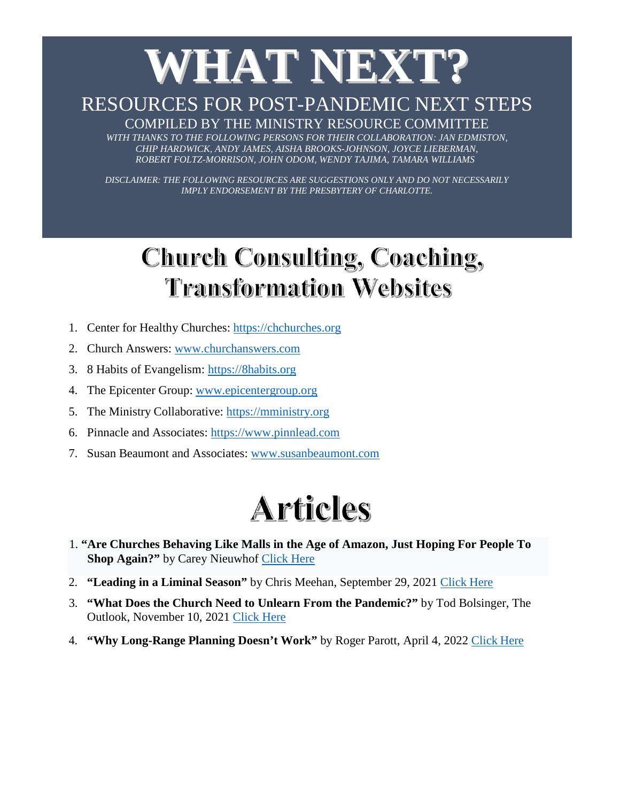# **WHAT NEXT?**

#### RESOURCES FOR POST-PANDEMIC NEXT STEPS

COMPILED BY THE MINISTRY RESOURCE COMMITTEE WITH THANKS TO THE FOLLOWING PERSONS FOR THEIR COLLABORATION: JAN EDMISTON, *CHIP HARDWICK, ANDY JAMES, AISHA BROOKS-JOHNSON, JOYCE LIEBERMAN, ROBERT FOLTZ-MORRISON, JOHN ODOM, WENDY TAJIMA, TAMARA WILLIAMS*

*DISCLAIMER: THE FOLLOWING RESOURCES ARE SUGGESTIONS ONLY AND DO NOT NECESSARILY IMPLY ENDORSEMENT BY THE PRESBYTERY OF CHARLOTTE.*

#### Church Consulting, Coaching, **Transformation Websites**

- 1. Center for Healthy Churches: [https://chchurches.org](https://chchurches.org/)
- 2. Church Answers: [www.churchanswers.com](http://www.churchanswers.com/)
- 3. 8 Habits of Evangelism: [https://8habits.org](https://8habits.org/)
- 4. The Epicenter Group: [www.epicentergroup.org](http://www.epicentergroup.org/)
- 5. The Ministry Collaborative: [https://mministry.org](https://mministry.org/)
- 6. Pinnacle and Associates: [https://www.pinnlead.com](https://www.pinnlead.com/)
- 7. Susan Beaumont and Associates: [www.susanbeaumont.com](http://www.susanbeaumont.com/)

#### **Articles**

- 1. **"Are Churches Behaving Like Malls in the Age of Amazon, Just Hoping For People To Shop Again?"** by Carey Nieuwhof [Click Here](https://careynieuwhof.com/are-churches-behaving-like-malls-in-the-age-of-amazon-just-hoping-for-people-to-shop-again/?fbclid=IwAR1mPUFS6h-TQjopwUMKCwMDxSGkVVif6UVtk6XduDlh9XCnVKyeJUDodl4)
- 2. **"Leading in a Liminal Season"** by Chris Meehan, September 29, 2021 [Click](https://www.crcna.org/news-and-events/news/leading-liminal-season) Here
- 3. **"What Does the Church Need to Unlearn From the Pandemic?"** by Tod Bolsinger, The Outlook, November 10, 2021 [Click](https://pres-outlook.org/2021/11/what-does-the-church-need-to-unlearn-from-the-pandemic/) Here
- 4. **"Why Long-Range Planning Doesn't Work"** by Roger Parott, April 4, 2022 [Click](https://lausanne.org/about/blog/why-long-range-planning-doesnt-work) Here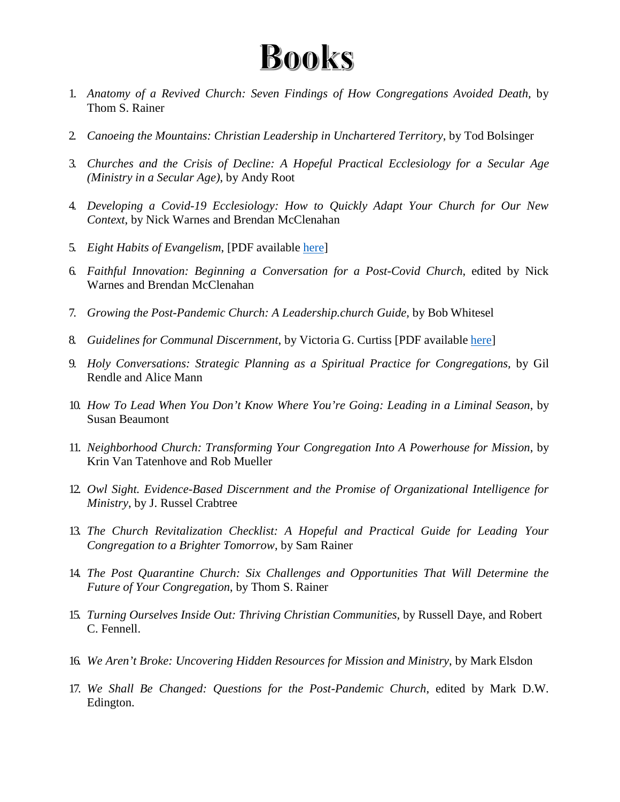#### **Books**

- 1. *Anatomy of a Revived Church: Seven Findings of How Congregations Avoided Death,* by Thom S. Rainer
- 2. *Canoeing the Mountains: Christian Leadership in Unchartered Territory*, by Tod Bolsinger
- 3. *Churches and the Crisis of Decline: A Hopeful Practical Ecclesiology for a Secular Age (Ministry in a Secular Age)*, by Andy Root
- 4. *Developing a Covid-19 Ecclesiology: How to Quickly Adapt Your Church for Our New Context*, by Nick Warnes and Brendan McClenahan
- 5. *Eight Habits of Evangelism*, [PDF available [here\]](https://8habits.org/wp-content/uploads/2021/10/8_Habits_full_book_ENGLISH.pdf)
- 6. *Faithful Innovation: Beginning a Conversation for a Post-Covid Church*, edited by Nick Warnes and Brendan McClenahan
- 7. *Growing the Post-Pandemic Church: A Leadership.church Guide,* by Bob Whitesel
- 8. *Guidelines for Communal Discernment*, by Victoria G. Curtiss [PDF available [here\]](https://mcusercontent.com/1721a6b9451a1567ee53b00fc/files/62f500b6-d1b9-f6fd-8234-9aa861593aae/Guidelines_for_Communal_Discernment_Curtiss.pdf)
- 9. *Holy Conversations: Strategic Planning as a Spiritual Practice for Congregations,* by Gil Rendle and Alice Mann
- 10. *How To Lead When You Don't Know Where You're Going: Leading in a Liminal Season*, by Susan Beaumont
- 11. *Neighborhood Church: Transforming Your Congregation Into A Powerhouse for Mission*, by Krin Van Tatenhove and Rob Mueller
- 12. *Owl Sight. Evidence-Based Discernment and the Promise of Organizational Intelligence for Ministry*, by J. Russel Crabtree
- 13. *The Church Revitalization Checklist: A Hopeful and Practical Guide for Leading Your Congregation to a Brighter Tomorrow*, by Sam Rainer
- 14. *The Post Quarantine Church: Six Challenges and Opportunities That Will Determine the Future of Your Congregation*, by Thom S. Rainer
- 15. *Turning Ourselves Inside Out: Thriving Christian Communities,* by Russell Daye, and Robert C. Fennell.
- 16. *We Aren't Broke: Uncovering Hidden Resources for Mission and Ministry*, by Mark Elsdon
- 17. *We Shall Be Changed: Questions for the Post-Pandemic Church*, edited by Mark D.W. Edington.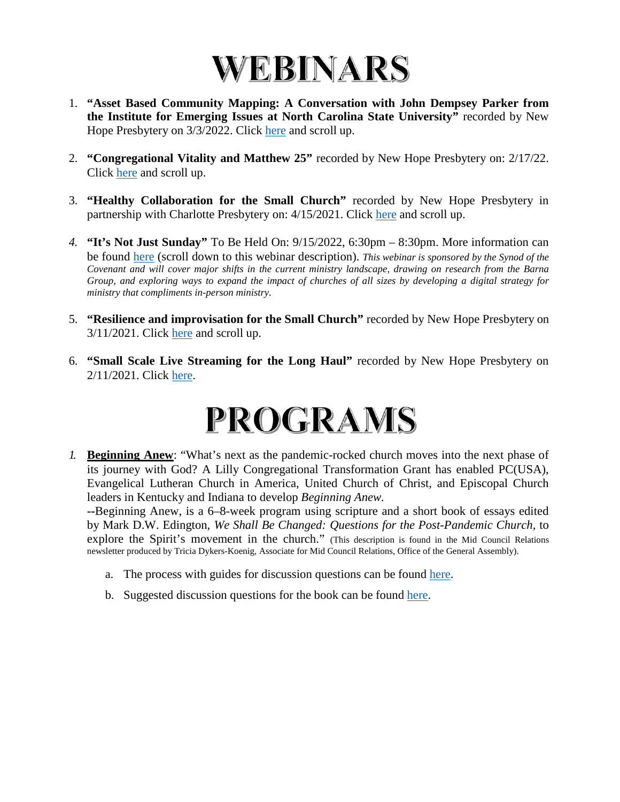

- 1. **"Asset Based Community Mapping: A Conversation with John Dempsey Parker from the Institute for Emerging Issues at North Carolina State University"** recorded by New Hope Presbytery on 3/3/2022. Click [here](https://nhpresbytery.org/small-church-webinars/#livestreaming) and scroll up.
- 2. **"Congregational Vitality and Matthew 25"** recorded by New Hope Presbytery on: 2/17/22. Click [here](https://nhpresbytery.org/small-church-webinars/#livestreaming) and scroll up.
- 3. **"Healthy Collaboration for the Small Church"** recorded by New Hope Presbytery in partnership with Charlotte Presbytery on: 4/15/2021. Click [here](https://nhpresbytery.org/small-church-webinars/#livestreaming) and scroll up.
- *4.* **"It's Not Just Sunday"** To Be Held On: 9/15/2022, 6:30pm 8:30pm. More information can be found [here](https://synodofthecovenant.org/leadership-development-workshops/) (scroll down to this webinar description). *This webinar is sponsored by the Synod of the Covenant and will cover major shifts in the current ministry landscape, drawing on research from the Barna Group, and exploring ways to expand the impact of churches of all sizes by developing a digital strategy for ministry that compliments in-person ministry.*
- 5. **"Resilience and improvisation for the Small Church"** recorded by New Hope Presbytery on 3/11/2021. Click [here](https://nhpresbytery.org/small-church-webinars/#livestreaming) and scroll up.
- 6. **"Small Scale Live Streaming for the Long Haul"** recorded by New Hope Presbytery on 2/11/2021. Click here.

#### PROGRAMS

*1.* **Beginning Anew**: "What's next as the pandemic-rocked church moves into the next phase of its journey with God? A Lilly Congregational Transformation Grant has enabled PC(USA), Evangelical Lutheran Church in America, United Church of Christ, and Episcopal Church leaders in Kentucky and Indiana to develop *Beginning Anew.*

**--**Beginning Anew, is a 6–8-week program using scripture and a short book of essays edited by Mark D.W. Edington, *We Shall Be Changed: Questions for the Post-Pandemic Church,* to explore the Spirit's movement in the church." (This description is found in the Mid Council Relations newsletter produced by Tricia Dykers-Koenig, Associate for Mid Council Relations, Office of the General Assembly).

- a. The process with guides for discussion questions can be found [here.](https://mcusercontent.com/1721a6b9451a1567ee53b00fc/files/b7713f3d-af09-84bf-47c4-f5d3fe493aae/Beginning_Anew_Process_2021.pdf)
- b. Suggested discussion questions for the book can be found [here.](https://mcusercontent.com/1721a6b9451a1567ee53b00fc/files/17426793-d708-4717-ccf4-da562bb865d1/Beginning_Anew_We_Shall_Be_Changed_Discussion_Questions_.pdf)